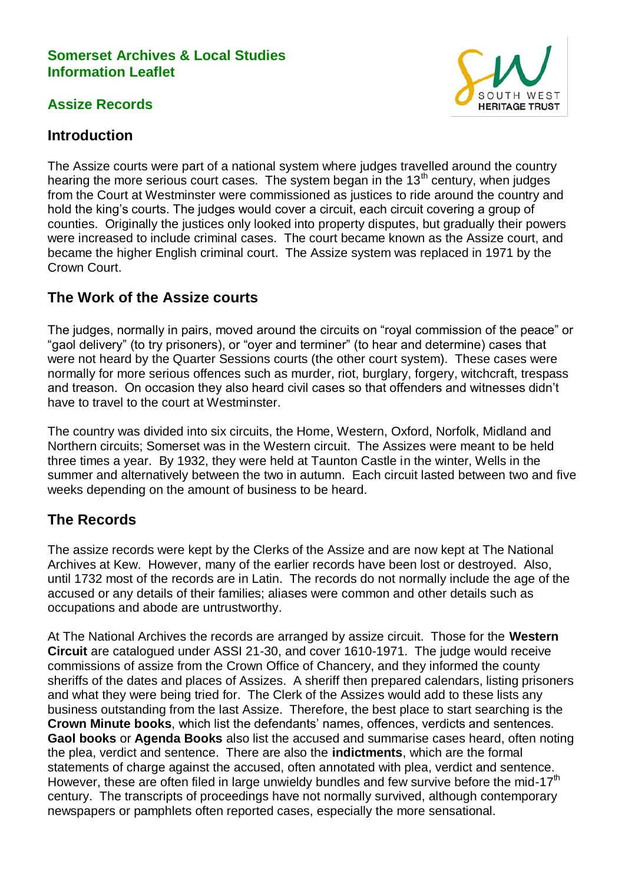### **Somerset Archives & Local Studies Information Leaflet**

## **Assize Records**



## **Introduction**

The Assize courts were part of a national system where judges travelled around the country hearing the more serious court cases. The system began in the  $13<sup>th</sup>$  century, when judges from the Court at Westminster were commissioned as justices to ride around the country and hold the king's courts. The judges would cover a circuit, each circuit covering a group of counties. Originally the justices only looked into property disputes, but gradually their powers were increased to include criminal cases. The court became known as the Assize court, and became the higher English criminal court. The Assize system was replaced in 1971 by the Crown Court.

# **The Work of the Assize courts**

The judges, normally in pairs, moved around the circuits on "royal commission of the peace" or "gaol delivery" (to try prisoners), or "oyer and terminer" (to hear and determine) cases that were not heard by the Quarter Sessions courts (the other court system). These cases were normally for more serious offences such as murder, riot, burglary, forgery, witchcraft, trespass and treason. On occasion they also heard civil cases so that offenders and witnesses didn't have to travel to the court at Westminster.

The country was divided into six circuits, the Home, Western, Oxford, Norfolk, Midland and Northern circuits; Somerset was in the Western circuit. The Assizes were meant to be held three times a year. By 1932, they were held at Taunton Castle in the winter, Wells in the summer and alternatively between the two in autumn. Each circuit lasted between two and five weeks depending on the amount of business to be heard.

# **The Records**

The assize records were kept by the Clerks of the Assize and are now kept at The National Archives at Kew. However, many of the earlier records have been lost or destroyed. Also, until 1732 most of the records are in Latin. The records do not normally include the age of the accused or any details of their families; aliases were common and other details such as occupations and abode are untrustworthy.

At The National Archives the records are arranged by assize circuit. Those for the **Western Circuit** are catalogued under ASSI 21-30, and cover 1610-1971. The judge would receive commissions of assize from the Crown Office of Chancery, and they informed the county sheriffs of the dates and places of Assizes. A sheriff then prepared calendars, listing prisoners and what they were being tried for. The Clerk of the Assizes would add to these lists any business outstanding from the last Assize. Therefore, the best place to start searching is the **Crown Minute books**, which list the defendants' names, offences, verdicts and sentences. **Gaol books** or **Agenda Books** also list the accused and summarise cases heard, often noting the plea, verdict and sentence. There are also the **indictments**, which are the formal statements of charge against the accused, often annotated with plea, verdict and sentence. However, these are often filed in large unwieldy bundles and few survive before the mid-17<sup>th</sup> century. The transcripts of proceedings have not normally survived, although contemporary newspapers or pamphlets often reported cases, especially the more sensational.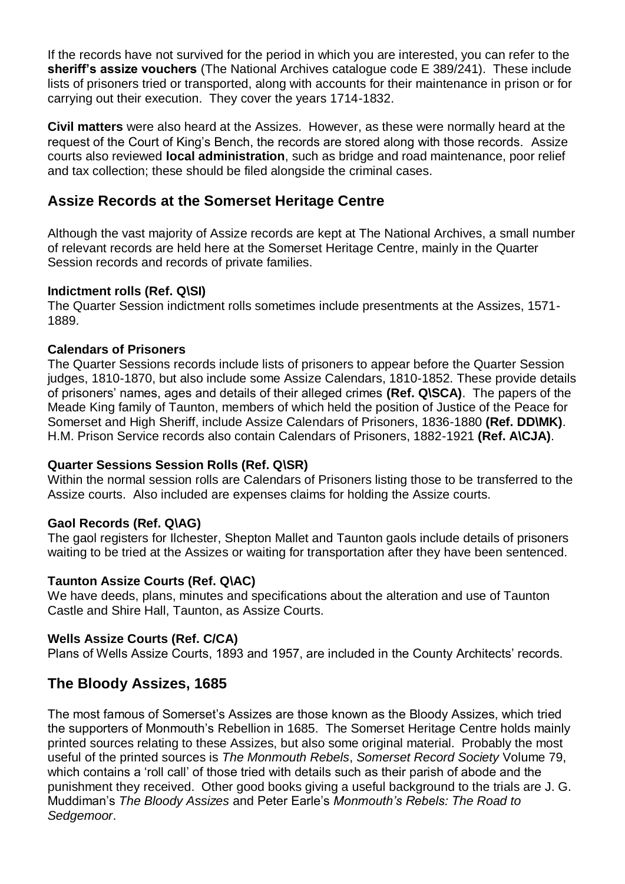If the records have not survived for the period in which you are interested, you can refer to the **sheriff's assize vouchers** (The National Archives catalogue code E 389/241). These include lists of prisoners tried or transported, along with accounts for their maintenance in prison or for carrying out their execution. They cover the years 1714-1832.

**Civil matters** were also heard at the Assizes. However, as these were normally heard at the request of the Court of King's Bench, the records are stored along with those records. Assize courts also reviewed **local administration**, such as bridge and road maintenance, poor relief and tax collection; these should be filed alongside the criminal cases.

### **Assize Records at the Somerset Heritage Centre**

Although the vast majority of Assize records are kept at The National Archives, a small number of relevant records are held here at the Somerset Heritage Centre, mainly in the Quarter Session records and records of private families.

#### **Indictment rolls (Ref. Q\SI)**

The Quarter Session indictment rolls sometimes include presentments at the Assizes, 1571- 1889.

#### **Calendars of Prisoners**

The Quarter Sessions records include lists of prisoners to appear before the Quarter Session judges, 1810-1870, but also include some Assize Calendars, 1810-1852. These provide details of prisoners' names, ages and details of their alleged crimes **(Ref. Q\SCA)**. The papers of the Meade King family of Taunton, members of which held the position of Justice of the Peace for Somerset and High Sheriff, include Assize Calendars of Prisoners, 1836-1880 **(Ref. DD\MK)**. H.M. Prison Service records also contain Calendars of Prisoners, 1882-1921 **(Ref. A\CJA)**.

#### **Quarter Sessions Session Rolls (Ref. Q\SR)**

Within the normal session rolls are Calendars of Prisoners listing those to be transferred to the Assize courts. Also included are expenses claims for holding the Assize courts.

#### **Gaol Records (Ref. Q\AG)**

The gaol registers for Ilchester, Shepton Mallet and Taunton gaols include details of prisoners waiting to be tried at the Assizes or waiting for transportation after they have been sentenced.

#### **Taunton Assize Courts (Ref. Q\AC)**

We have deeds, plans, minutes and specifications about the alteration and use of Taunton Castle and Shire Hall, Taunton, as Assize Courts.

#### **Wells Assize Courts (Ref. C/CA)**

Plans of Wells Assize Courts, 1893 and 1957, are included in the County Architects' records.

### **The Bloody Assizes, 1685**

The most famous of Somerset's Assizes are those known as the Bloody Assizes, which tried the supporters of Monmouth's Rebellion in 1685. The Somerset Heritage Centre holds mainly printed sources relating to these Assizes, but also some original material. Probably the most useful of the printed sources is *The Monmouth Rebels*, *Somerset Record Society* Volume 79, which contains a 'roll call' of those tried with details such as their parish of abode and the punishment they received. Other good books giving a useful background to the trials are J. G. Muddiman's *The Bloody Assizes* and Peter Earle's *Monmouth's Rebels: The Road to Sedgemoor*.